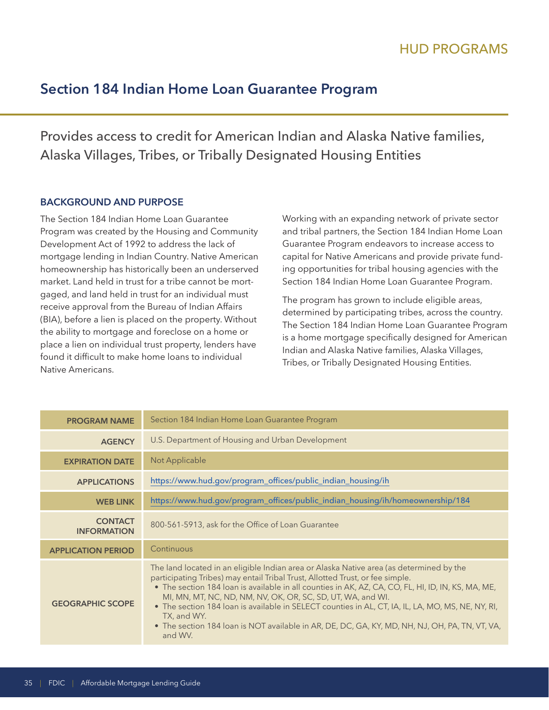# **Section 184 Indian Home Loan Guarantee Program**

Provides access to credit for American Indian and Alaska Native families, Alaska Villages, Tribes, or Tribally Designated Housing Entities

## **BACKGROUND AND PURPOSE**

The Section 184 Indian Home Loan Guarantee Program was created by the Housing and Community Development Act of 1992 to address the lack of mortgage lending in Indian Country. Native American homeownership has historically been an underserved market. Land held in trust for a tribe cannot be mortgaged, and land held in trust for an individual must receive approval from the Bureau of Indian Affairs (BIA), before a lien is placed on the property. Without the ability to mortgage and foreclose on a home or place a lien on individual trust property, lenders have found it difficult to make home loans to individual Native Americans.

Working with an expanding network of private sector and tribal partners, the Section 184 Indian Home Loan Guarantee Program endeavors to increase access to capital for Native Americans and provide private funding opportunities for tribal housing agencies with the Section 184 Indian Home Loan Guarantee Program.

The program has grown to include eligible areas, determined by participating tribes, across the country. The Section 184 Indian Home Loan Guarantee Program is a home mortgage specifically designed for American Indian and Alaska Native families, Alaska Villages, Tribes, or Tribally Designated Housing Entities.

| <b>PROGRAM NAME</b>                  | Section 184 Indian Home Loan Guarantee Program                                                                                                                                                                                                                                                                                                                                                                                                                                                                                                                                 |
|--------------------------------------|--------------------------------------------------------------------------------------------------------------------------------------------------------------------------------------------------------------------------------------------------------------------------------------------------------------------------------------------------------------------------------------------------------------------------------------------------------------------------------------------------------------------------------------------------------------------------------|
| <b>AGENCY</b>                        | U.S. Department of Housing and Urban Development                                                                                                                                                                                                                                                                                                                                                                                                                                                                                                                               |
| <b>EXPIRATION DATE</b>               | Not Applicable                                                                                                                                                                                                                                                                                                                                                                                                                                                                                                                                                                 |
| <b>APPLICATIONS</b>                  | https://www.hud.gov/program_offices/public_indian_housing/ih                                                                                                                                                                                                                                                                                                                                                                                                                                                                                                                   |
| <b>WEB LINK</b>                      | https://www.hud.gov/program_offices/public_indian_housing/ih/homeownership/184                                                                                                                                                                                                                                                                                                                                                                                                                                                                                                 |
| <b>CONTACT</b><br><b>INFORMATION</b> | 800-561-5913, ask for the Office of Loan Guarantee                                                                                                                                                                                                                                                                                                                                                                                                                                                                                                                             |
| <b>APPLICATION PERIOD</b>            | Continuous                                                                                                                                                                                                                                                                                                                                                                                                                                                                                                                                                                     |
| <b>GEOGRAPHIC SCOPE</b>              | The land located in an eligible Indian area or Alaska Native area (as determined by the<br>participating Tribes) may entail Tribal Trust, Allotted Trust, or fee simple.<br>• The section 184 loan is available in all counties in AK, AZ, CA, CO, FL, HI, ID, IN, KS, MA, ME,<br>MI, MN, MT, NC, ND, NM, NV, OK, OR, SC, SD, UT, WA, and WI.<br>• The section 184 loan is available in SELECT counties in AL, CT, IA, IL, LA, MO, MS, NE, NY, RI,<br>TX, and WY.<br>• The section 184 Ioan is NOT available in AR, DE, DC, GA, KY, MD, NH, NJ, OH, PA, TN, VT, VA,<br>and WV. |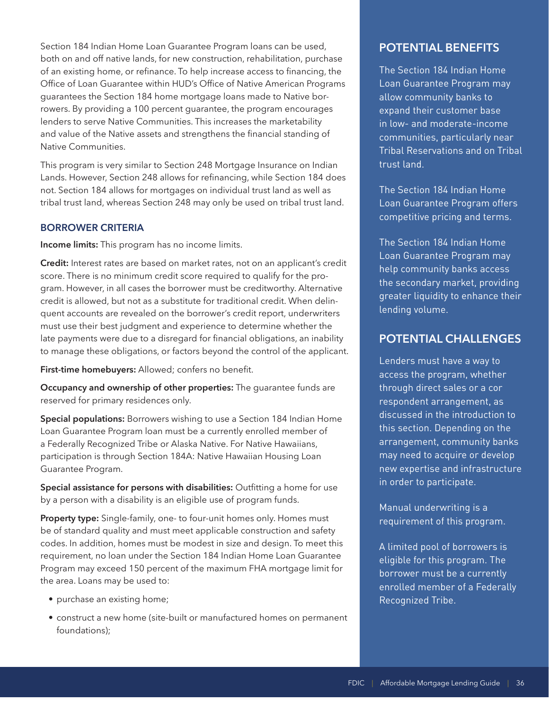Section 184 Indian Home Loan Guarantee Program loans can be used, both on and off native lands, for new construction, rehabilitation, purchase of an existing home, or refinance. To help increase access to financing, the Office of Loan Guarantee within HUD's Office of Native American Programs guarantees the Section 184 home mortgage loans made to Native borrowers. By providing a 100 percent guarantee, the program encourages lenders to serve Native Communities. This increases the marketability and value of the Native assets and strengthens the financial standing of Native Communities.

This program is very similar to Section 248 Mortgage Insurance on Indian Lands. However, Section 248 allows for refinancing, while Section 184 does not. Section 184 allows for mortgages on individual trust land as well as tribal trust land, whereas Section 248 may only be used on tribal trust land.

#### **BORROWER CRITERIA**

**Income limits:** This program has no income limits.

**Credit:** Interest rates are based on market rates, not on an applicant's credit score. There is no minimum credit score required to qualify for the program. However, in all cases the borrower must be creditworthy. Alternative credit is allowed, but not as a substitute for traditional credit. When delinquent accounts are revealed on the borrower's credit report, underwriters must use their best judgment and experience to determine whether the late payments were due to a disregard for financial obligations, an inability to manage these obligations, or factors beyond the control of the applicant.

**First-time homebuyers:** Allowed; confers no benefit.

**Occupancy and ownership of other properties:** The guarantee funds are reserved for primary residences only.

**Special populations:** Borrowers wishing to use a Section 184 Indian Home Loan Guarantee Program loan must be a currently enrolled member of a Federally Recognized Tribe or Alaska Native. For Native Hawaiians, participation is through Section 184A: Native Hawaiian Housing Loan Guarantee Program.

**Special assistance for persons with disabilities:** Outfitting a home for use by a person with a disability is an eligible use of program funds.

**Property type:** Single-family, one- to four-unit homes only. Homes must be of standard quality and must meet applicable construction and safety codes. In addition, homes must be modest in size and design. To meet this requirement, no loan under the Section 184 Indian Home Loan Guarantee Program may exceed 150 percent of the maximum FHA mortgage limit for the area. Loans may be used to:

- purchase an existing home;
- construct a new home (site-built or manufactured homes on permanent foundations);

# **POTENTIAL BENEFITS**

The Section 184 Indian Home Loan Guarantee Program may allow community banks to expand their customer base in low- and moderate-income communities, particularly near Tribal Reservations and on Tribal trust land.

The Section 184 Indian Home Loan Guarantee Program offers competitive pricing and terms.

The Section 184 Indian Home Loan Guarantee Program may help community banks access the secondary market, providing greater liquidity to enhance their lending volume.

# **POTENTIAL CHALLENGES**

through direct sales or a cor Lenders must have a way to access the program, whether respondent arrangement, as discussed in the introduction to this section. Depending on the arrangement, community banks may need to acquire or develop new expertise and infrastructure in order to participate.

Manual underwriting is a requirement of this program.

A limited pool of borrowers is eligible for this program. The borrower must be a currently enrolled member of a Federally Recognized Tribe.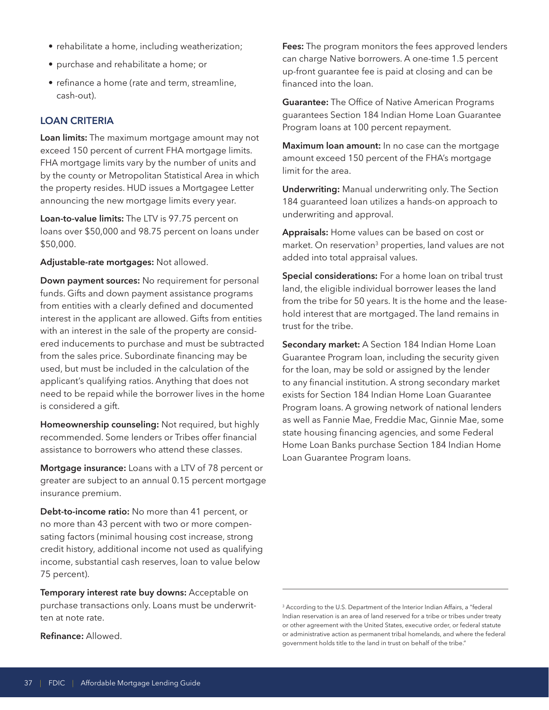- rehabilitate a home, including weatherization;
- purchase and rehabilitate a home; or
- refinance a home (rate and term, streamline, cash-out).

#### **LOAN CRITERIA**

**Loan limits:** The maximum mortgage amount may not exceed 150 percent of current FHA mortgage limits. FHA mortgage limits vary by the number of units and by the county or Metropolitan Statistical Area in which the property resides. HUD issues a Mortgagee Letter announcing the new mortgage limits every year.

**Loan-to-value limits:** The LTV is 97.75 percent on loans over \$50,000 and 98.75 percent on loans under \$50,000.

**Adjustable-rate mortgages:** Not allowed.

**Down payment sources:** No requirement for personal funds. Gifts and down payment assistance programs from entities with a clearly defined and documented interest in the applicant are allowed. Gifts from entities with an interest in the sale of the property are considered inducements to purchase and must be subtracted from the sales price. Subordinate financing may be used, but must be included in the calculation of the applicant's qualifying ratios. Anything that does not need to be repaid while the borrower lives in the home is considered a gift.

**Homeownership counseling:** Not required, but highly recommended. Some lenders or Tribes offer financial assistance to borrowers who attend these classes.

**Mortgage insurance:** Loans with a LTV of 78 percent or greater are subject to an annual 0.15 percent mortgage insurance premium.

**Debt-to-income ratio:** No more than 41 percent, or no more than 43 percent with two or more compensating factors (minimal housing cost increase, strong credit history, additional income not used as qualifying income, substantial cash reserves, loan to value below 75 percent).

**Temporary interest rate buy downs:** Acceptable on purchase transactions only. Loans must be underwritten at note rate.

**Fees:** The program monitors the fees approved lenders can charge Native borrowers. A one-time 1.5 percent up-front guarantee fee is paid at closing and can be financed into the loan.

**Guarantee:** The Office of Native American Programs guarantees Section 184 Indian Home Loan Guarantee Program loans at 100 percent repayment.

**Maximum loan amount:** In no case can the mortgage amount exceed 150 percent of the FHA's mortgage limit for the area.

**Underwriting:** Manual underwriting only. The Section 184 guaranteed loan utilizes a hands-on approach to underwriting and approval.

**Appraisals:** Home values can be based on cost or market. On reservation<sup>3</sup> properties, land values are not added into total appraisal values.

**Special considerations:** For a home loan on tribal trust land, the eligible individual borrower leases the land from the tribe for 50 years. It is the home and the leasehold interest that are mortgaged. The land remains in trust for the tribe.

**Secondary market:** A Section 184 Indian Home Loan Guarantee Program loan, including the security given for the loan, may be sold or assigned by the lender to any financial institution. A strong secondary market exists for Section 184 Indian Home Loan Guarantee Program loans. A growing network of national lenders as well as Fannie Mae, Freddie Mac, Ginnie Mae, some state housing financing agencies, and some Federal Home Loan Banks purchase Section 184 Indian Home Loan Guarantee Program loans.

**Refinance:** Allowed.

<sup>&</sup>lt;sup>3</sup> According to the U.S. Department of the Interior Indian Affairs, a "federal Indian reservation is an area of land reserved for a tribe or tribes under treaty or other agreement with the United States, executive order, or federal statute or administrative action as permanent tribal homelands, and where the federal government holds title to the land in trust on behalf of the tribe."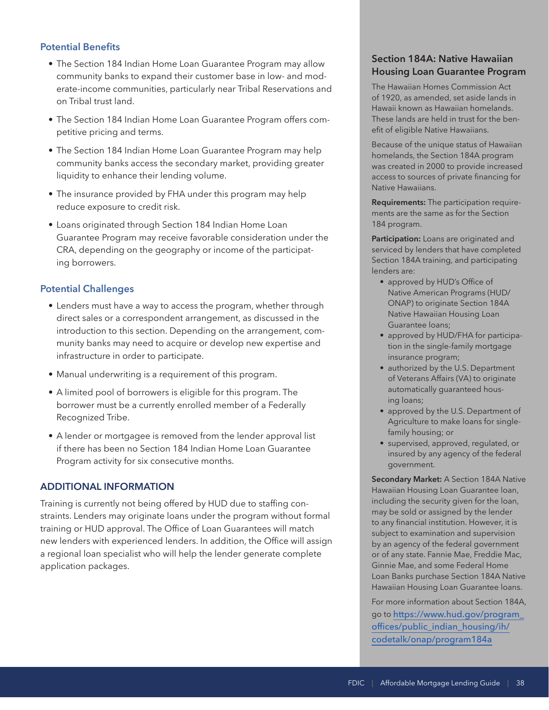### **Potential Benefits**

- The Section 184 Indian Home Loan Guarantee Program may allow community banks to expand their customer base in low- and moderate-income communities, particularly near Tribal Reservations and on Tribal trust land.
- The Section 184 Indian Home Loan Guarantee Program offers competitive pricing and terms.
- The Section 184 Indian Home Loan Guarantee Program may help community banks access the secondary market, providing greater liquidity to enhance their lending volume.
- The insurance provided by FHA under this program may help reduce exposure to credit risk.
- Loans originated through Section 184 Indian Home Loan Guarantee Program may receive favorable consideration under the CRA, depending on the geography or income of the participating borrowers.

#### **Potential Challenges**

- Lenders must have a way to access the program, whether through direct sales or a correspondent arrangement, as discussed in the introduction to this section. Depending on the arrangement, community banks may need to acquire or develop new expertise and infrastructure in order to participate.
- Manual underwriting is a requirement of this program.
- A limited pool of borrowers is eligible for this program. The borrower must be a currently enrolled member of a Federally Recognized Tribe.
- A lender or mortgagee is removed from the lender approval list if there has been no Section 184 Indian Home Loan Guarantee Program activity for six consecutive months.

#### **ADDITIONAL INFORMATION**

Training is currently not being offered by HUD due to staffing constraints. Lenders may originate loans under the program without formal training or HUD approval. The Office of Loan Guarantees will match new lenders with experienced lenders. In addition, the Office will assign a regional loan specialist who will help the lender generate complete application packages.

## **Section 184A: Native Hawaiian Housing Loan Guarantee Program**

The Hawaiian Homes Commission Act of 1920, as amended, set aside lands in Hawaii known as Hawaiian homelands. These lands are held in trust for the benefit of eligible Native Hawaiians.

Because of the unique status of Hawaiian homelands, the Section 184A program was created in 2000 to provide increased access to sources of private financing for Native Hawaiians.

**Requirements:** The participation requirements are the same as for the Section 184 program.

**Participation:** Loans are originated and serviced by lenders that have completed Section 184A training, and participating lenders are:

- approved by HUD's Office of Native American Programs (HUD/ ONAP) to originate Section 184A Native Hawaiian Housing Loan Guarantee loans;
- approved by HUD/FHA for participation in the single-family mortgage insurance program;
- authorized by the U.S. Department of Veterans Affairs (VA) to originate automatically guaranteed housing loans;
- approved by the U.S. Department of Agriculture to make loans for singlefamily housing; or
- supervised, approved, regulated, or insured by any agency of the federal government.

**Secondary Market:** A Section 184A Native Hawaiian Housing Loan Guarantee loan, including the security given for the loan, may be sold or assigned by the lender to any financial institution. However, it is subject to examination and supervision by an agency of the federal government or of any state. Fannie Mae, Freddie Mac, Ginnie Mae, and some Federal Home Loan Banks purchase Section 184A Native Hawaiian Housing Loan Guarantee loans.

For more information about Section 184A, go to [https://www.hud.gov/program\\_](https://www.hud.gov/program_offices/public_indian_housing/ih/codetalk/onap/program184a)  [offices/public\\_indian\\_housing/ih/](https://www.hud.gov/program_offices/public_indian_housing/ih/codetalk/onap/program184a) [codetalk/onap/program184a](https://www.hud.gov/program_offices/public_indian_housing/ih/codetalk/onap/program184a)